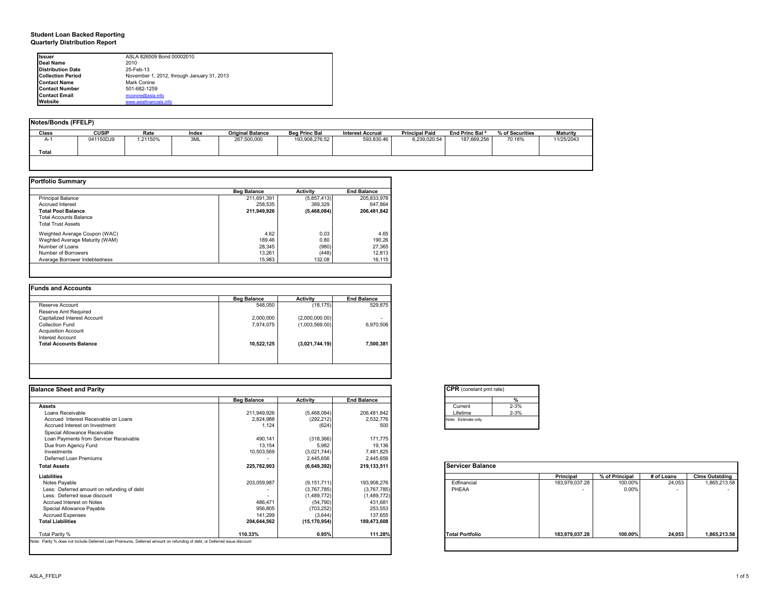### **Student Loan Backed Reporting Quarterly Distribution Report**

| <b>Issuer</b>            | ASLA 826509 Bond 00002010                  |
|--------------------------|--------------------------------------------|
| Deal Name                | 2010                                       |
| <b>Distribution Date</b> | 25-Feb-13                                  |
| <b>Collection Period</b> | November 1, 2012, through January 31, 2013 |
| <b>Contact Name</b>      | Mark Conine                                |
| <b>Contact Number</b>    | 501-682-1259                               |
| <b>Contact Email</b>     | mconine@asla.info                          |
| Website                  | www.aslafinancials.info                    |

|       | Notes/Bonds (FFELP) |          |       |                         |                      |                         |                       |                            |                 |                 |  |  |  |
|-------|---------------------|----------|-------|-------------------------|----------------------|-------------------------|-----------------------|----------------------------|-----------------|-----------------|--|--|--|
| Class | <b>CUSIP</b>        | Rate     | Index | <b>Original Balance</b> | <b>Beg Princ Bal</b> | <b>Interest Accrual</b> | <b>Principal Paid</b> | End Princ Bal <sup>a</sup> | % of Securities | <b>Maturity</b> |  |  |  |
| A-1   | 041150DJ9           | 1.21150% | 3ML   | 267.500.000             | 193.908.276.52       | 593.830.46              | 6.239.020.54          | 187.669.256                | 70.16%          | 11/25/2043      |  |  |  |
| Total |                     |          |       |                         |                      |                         |                       |                            |                 |                 |  |  |  |
|       |                     |          |       |                         |                      |                         |                       |                            |                 |                 |  |  |  |

|                                | <b>Beg Balance</b> | Activity    | <b>End Balance</b> |
|--------------------------------|--------------------|-------------|--------------------|
| <b>Principal Balance</b>       | 211.691.391        | (5,857,413) | 205.833.978        |
| <b>Accrued Interest</b>        | 258.535            | 389.329     | 647.864            |
| <b>Total Pool Balance</b>      | 211,949,926        | (5,468,084) | 206,481,842        |
| <b>Total Accounts Balance</b>  |                    |             |                    |
| <b>Total Trust Assets</b>      |                    |             |                    |
| Weighted Average Coupon (WAC)  | 4.62               | 0.03        | 4.65               |
| Weghted Average Maturity (WAM) | 189.46             | 0.80        | 190.26             |
| Number of Loans                | 28.345             | (980)       | 27,365             |
| Number of Borrowers            | 13.261             | (448)       | 12,813             |
| Average Borrower Indebtedness  | 15,983             | 132.08      | 16,115             |

| <b>Beg Balance</b> | <b>Activity</b> | <b>End Balance</b>       |
|--------------------|-----------------|--------------------------|
| 548,050            | (18, 175)       | 529,875                  |
|                    |                 |                          |
| 2,000,000          | (2,000,000.00)  | $\overline{\phantom{0}}$ |
| 7,974,075          | (1,003,569.00)  | 6,970,506                |
|                    |                 |                          |
|                    |                 |                          |
| 10,522,125         | (3,021,744.19)  | 7,500,381                |
|                    |                 |                          |
|                    |                 |                          |
|                    |                 |                          |

| <b>Beg Balance</b>       | Activity                                                                                                                 | <b>End Balance</b> |                         |                |                |            |                       |
|--------------------------|--------------------------------------------------------------------------------------------------------------------------|--------------------|-------------------------|----------------|----------------|------------|-----------------------|
|                          |                                                                                                                          |                    | %                       |                |                |            |                       |
|                          |                                                                                                                          |                    | $2 - 3%$<br>Current     |                |                |            |                       |
| 211.949.926              | (5,468,084)                                                                                                              | 206,481,842        | $2 - 3%$<br>Lifetime    |                |                |            |                       |
| 2,824,988                | (292, 212)                                                                                                               | 2,532,776          | Note: Estimate only.    |                |                |            |                       |
| 1.124                    | (624)                                                                                                                    | 500                |                         |                |                |            |                       |
|                          |                                                                                                                          |                    |                         |                |                |            |                       |
| 490,141                  | (318, 366)                                                                                                               | 171,775            |                         |                |                |            |                       |
| 13,154                   | 5,982                                                                                                                    | 19,136             |                         |                |                |            |                       |
| 10,503,569               | (3,021,744)                                                                                                              | 7,481,825          |                         |                |                |            |                       |
|                          | 2,445,656                                                                                                                | 2,445,656          |                         |                |                |            |                       |
| 225,782,903              | (6,649,392)                                                                                                              | 219,133,511        | <b>Servicer Balance</b> |                |                |            |                       |
|                          |                                                                                                                          |                    |                         | Principal      | % of Principal | # of Loans | <b>Cims Outstding</b> |
| 203,059,987              | (9, 151, 711)                                                                                                            | 193,908,276        | Edfinancial             | 183,979,037.28 | 100.00%        | 24,053     | 1,865,213.58          |
| $\overline{\phantom{0}}$ | (3,767,785)                                                                                                              | (3,767,785)        | PHEAA                   |                | 0.009          |            | $\sim$                |
|                          | (1,489,772)                                                                                                              | (1,489,772)        |                         |                |                |            |                       |
| 486,471                  | (54, 790)                                                                                                                | 431,681            |                         |                |                |            |                       |
| 956,805                  | (703, 252)                                                                                                               | 253,553            |                         |                |                |            |                       |
| 141,299                  | (3,644)                                                                                                                  | 137,655            |                         |                |                |            |                       |
| 204,644,562              | (15, 170, 954)                                                                                                           | 189,473,608        |                         |                |                |            |                       |
| 110.33%                  | 0.95%                                                                                                                    | 111.28%            | <b>Total Portfolio</b>  | 183.979.037.28 | 100.00%        | 24.053     | 1,865,213.58          |
|                          | Note: Parity % does not include Deferred Loan Premiums, Deferred amount on refunding of debt, or Deferred issue discount |                    |                         |                |                |            |                       |

|          | %        |
|----------|----------|
| Current  | $2 - 3%$ |
| Lifetime | $2 - 3%$ |

|                        | Principal      | % of Principal | # of Loans | <b>Clms Outstding</b> |
|------------------------|----------------|----------------|------------|-----------------------|
| Edfinancial            | 183,979,037.28 | 100.00%        | 24,053     | 1,865,213.58          |
| PHEAA                  |                | $0.00\%$       |            |                       |
| <b>Total Portfolio</b> | 183,979,037.28 | 100.00%        | 24,053     | 1,865,213.58          |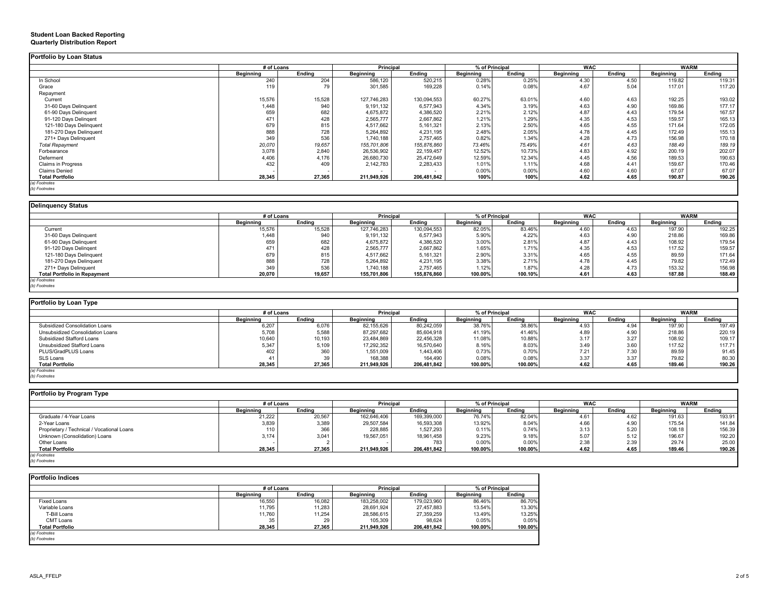|                           | # of Loans       |        | Principal                |             | % of Principal   |        | <b>WAC</b> |        | <b>WARM</b>      |             |
|---------------------------|------------------|--------|--------------------------|-------------|------------------|--------|------------|--------|------------------|-------------|
|                           | <b>Beginning</b> | Endina | Beginning                | Ending      | <b>Beginning</b> | Ending | Beginning  | Ending | <b>Beginning</b> | Ending      |
| In School                 | 240              | 204    | 586,120                  | 520,215     | 0.28%            | 0.25%  | 4.30       | 4.50   | 119.82           | 119.31      |
| Grace                     | 119              | 79     | 301,585                  | 169,228     | 0.14%            | 0.08%  | 4.67       | 5.04   | 117.01           | 117.20      |
| Repayment                 |                  |        |                          |             |                  |        |            |        |                  |             |
| Current                   | 15,576           | 15,528 | 127,746,283              | 130,094,553 | 60.27%           | 63.01% | 4.60       | 4.63   | 192.25           | 193.02      |
| 31-60 Days Delinquent     | 1,448            | 940    | 9,191,132                | 6,577,943   | 4.34%            | 3.19%  | 4.63       | 4.90   | 169.86           | 177.17      |
| 61-90 Days Delinquent     | 659              | 682    | 4,675,872                | 4,386,520   | 2.21%            | 2.12%  | 4.87       | 4.43   | 179.54           | 167.57      |
| 91-120 Days Delingent     | 471              | 428    | 2,565,777                | 2,667,862   | 1.21%            | 1.29%  | 4.35       | 4.53   | 159.57           | 165.13      |
| 121-180 Days Delinquent   | 679              | 815    | 4,517,662                | 5,161,321   | 2.13%            | 2.50%  | 4.65       | 4.55   | 171.64           | 172.05      |
| 181-270 Days Delinquent   | 888              | 728    | 5,264,892                | 4,231,195   | 2.48%            | 2.05%  | 4.78       | 4.45   | 172.49           | 155.13      |
| 271+ Days Delinquent      | 349              | 536    | 1,740,188                | 2,757,465   | 0.82%            | 1.34%  | 4.28       | 4.73   | 156.98           | 170.18      |
| <b>Total Repayment</b>    | 20,070           | 19,657 | 155,701,806              | 155,876,860 | 73.46%           | 75.49% | 4.61       | 4.63   | 188.49           | 189.19      |
| Forbearance               | 3,078            | 2,840  | 26,536,902               | 22,159,457  | 12.52%           | 10.73% | 4.83       | 4.92   | 200.19           | 202.07      |
| Deferment                 | 4,406            | 4,176  | 26,680,730               | 25,472,649  | 12.59%           | 12.34% | 4.45       | 4.56   | 189.53           | 190.63      |
| Claims in Progress        | 432              | 409    | 2,142,783                | 2,283,433   | 1.01%            | 1.11%  | 4.68       | 4.41   | 159.67           | 170.46      |
| <b>Claims Denied</b>      |                  |        | $\overline{\phantom{a}}$ |             | 0.00%            | 0.00%  | 4.60       | 4.60   | 67.07            | 67.07       |
| <b>Total Portfolio</b>    | 28,345           | 27,365 | 211.949.926              | 206,481,842 | 100%             | 100%   | 4.62       | 4.65   | 190.87           | 190.26      |
| (a) Footnotes             |                  |        |                          |             |                  |        |            |        |                  |             |
| (b) Footnotes             |                  |        |                          |             |                  |        |            |        |                  |             |
|                           |                  |        |                          |             |                  |        |            |        |                  |             |
| <b>Delinquency Status</b> |                  |        |                          |             |                  |        |            |        |                  |             |
|                           | # of Loans       |        | Principal                |             | % of Principal   |        | <b>WAC</b> |        |                  | <b>WARM</b> |
|                           | <b>Beainning</b> | Ending | Beginning                | Ending      | <b>Beginning</b> | Ending | Beginning  | Ending | <b>Beginning</b> | Ending      |
| Current                   | 15,576           | 15,528 | 127,746,283              | 130,094,553 | 82.05%           | 83.46% | 4.60       | 4.63   | 197.90           | 192.25      |
| 31-60 Days Delinquent     | 1.448            | 940    | 9,191,132                | 6,577,943   | 5.90%            | 4.22%  | 4.63       | 4.90   | 218.86           | 169.86      |

|                                     | $\cdots$ $\cdots$ |                 | _ _ _ _      |                          | .               |          | .        |          |                             |          |
|-------------------------------------|-------------------|-----------------|--------------|--------------------------|-----------------|----------|----------|----------|-----------------------------|----------|
| Portfolio by Loan Type              |                   |                 |              |                          |                 |          |          |          |                             |          |
|                                     |                   |                 |              |                          |                 |          |          |          |                             |          |
| (b) Footnotes                       |                   |                 |              |                          |                 |          |          |          |                             |          |
| (a) Footnotes                       |                   |                 |              |                          |                 |          |          |          |                             |          |
| <b>Total Portfolio in Repayment</b> | 20,070            | 19,657          | 155,701,806  | 155,876,860              | 100.00%         | 100.10%  | 4.61     | 4.63     | 187.88                      | 188.49   |
| 271+ Days Delinquent                | 349               | 536             | 1,740,188    | 2,757,465                | 1.12%           | 1.87%    | 4.28     | 4.73     | 153.32                      | 156.98   |
| 181-270 Days Delinquent             | 888               | 728             | 5,264,892    | 4,231,195                | 3.38%           | 2.71%    | 4.78     | 4.45     | 79.82                       | 172.49   |
| 121-180 Days Delinguent             | 679               | 815             | 4,517,662    | 5,161,321                | 2.90%           | 3.31%    | 4.65     | 4.55     | 89.59                       | 171.64   |
| 91-120 Days Delingent               | 471               | 428             | 2,565,777    | 2,667,862                | 1.65%           | 1.71%    | 4.35     | 4.53     | 117.52                      | 159.57   |
| 61-90 Days Delinquent               | 659               | 682             | 4,675,872    | 4,386,520                | 3.00%           | 2.81%    | 4.87     | 4.43     | 108.92                      | 179.54   |
|                                     | .                 | $\sim$ . $\sim$ | $-1, -1, -1$ | $\sim, \sim, \sim, \sim$ | $\sim$ . $\sim$ | $\cdots$ | $\cdots$ | $\cdots$ | $- \cdot \cdot \cdot \cdot$ | $\cdots$ |

|                                  | # of Loans |        | <b>Principal</b> |             |           | % of Principal | <b>WAC</b> |        |           | <b>WARM</b> |
|----------------------------------|------------|--------|------------------|-------------|-----------|----------------|------------|--------|-----------|-------------|
|                                  | Beainnina  | Endina | Beginning        | Endina      | Beainning | Endina         | Beainnina  | Endina | Beainnina | Endina      |
| Subsidized Consolidation Loans   | 6,207      | 6.076  | 82,155,626       | 80,242,059  | 38.76%    | 38.86%         | 4.93       | 4.94   | 197.90    | 197.49      |
| Unsubsidized Consolidation Loans | 5.708      | 5,588  | 87,297,682       | 85,604,918  | 41.19%    | 41.46%         | 4.89       | 4.90   | 218.86    | 220.19      |
| Subsidized Stafford Loans        | 10,640     | 10,193 | 23,484,869       | 22,456,328  | 11.08%    | 10.88%         | 3.17       | 3.27   | 108.92    | 109.17      |
| Unsubsidized Stafford Loans      | 5,347      | 5,109  | 17,292,352       | 16,570,640  | 8.16%     | 8.03%          | 3.49       | 3.60   | 117.52    | 117.71      |
| PLUS/GradPLUS Loans              | 402        | 360    | 1,551,009        | 1,443,406   | 0.73%     | 0.70%          | 7.21       | 7.30   | 89.59     | 91.45       |
| SLS Loans                        |            | 39     | 168,388          | 164.490     | 0.08%     | 0.08%          | 3.37       | 3.37   | 79.82     | 80.30       |
| <b>Total Portfolio</b>           | 28,345     | 27,365 | 211,949,926      | 206.481.842 | 100.00%   | 100.00%        | 4.62       | 4.65   | 189.46    | 190.26      |
| (a) Footnotes                    |            |        |                  |             |           |                |            |        |           |             |
| (b) Footnotes                    |            |        |                  |             |           |                |            |        |           |             |

| Portfolio by Program Type                  |            |        |                  |             |                  |         |            |        |           |             |
|--------------------------------------------|------------|--------|------------------|-------------|------------------|---------|------------|--------|-----------|-------------|
|                                            | # of Loans |        | Principal        |             | % of Principal   |         | <b>WAC</b> |        |           | <b>WARM</b> |
|                                            | Beainnina  | Endina | <b>Beginning</b> | Endina      | <b>Beginning</b> | Endina  | Beginning  | Endina | Beginning | Ending      |
| Graduate / 4-Year Loans                    | 21,222     | 20,567 | 162,646,406      | 169,399,000 | 76.74%           | 82.04%  | 4.61       | 4.62   | 191.63    | 193.91      |
| 2-Year Loans                               | 3,839      | 3,389  | 29,507,584       | 16,593,308  | 13.92%           | 8.04%   | 4.66       | 4.90   | 175.54    | 141.84      |
| Proprietary / Technical / Vocational Loans | 110        | 366    | 228,885          | 1,527,293   | 0.11%            | 0.74%   | 3.13       | 5.20   | 108.18    | 156.39      |
| Unknown (Consolidation) Loans              | 3,174      | 3,041  | 19,567,051       | 18,961,458  | 9.23%            | 9.18%   | 5.07       | 5.12   | 196.67    | 192.20      |
| Other Loans                                |            |        |                  | 783         | 0.00%            | 0.00%   | 2.38       | 2.39   | 29.74     | 25.00       |
| <b>Total Portfolio</b>                     | 28,345     | 27,365 | 211,949,926      | 206,481,842 | 100.00%          | 100.00% | 4.62       | 4.65   | 189.46    | 190.26      |
| (a) Footnotes                              |            |        |                  |             |                  |         |            |        |           |             |
| (b) Footnotes                              |            |        |                  |             |                  |         |            |        |           |             |

| <b>Portfolio Indices</b> |            |                     |                  |             |                |         |  |  |  |  |  |  |
|--------------------------|------------|---------------------|------------------|-------------|----------------|---------|--|--|--|--|--|--|
|                          | # of Loans |                     | <b>Principal</b> |             | % of Principal |         |  |  |  |  |  |  |
|                          | Beginning  | Endina<br>Beginning |                  | Endina      | Beginning      | Ending  |  |  |  |  |  |  |
| <b>Fixed Loans</b>       | 16,550     | 16,082              | 183,258,002      | 179,023,960 | 86.46%         | 86.70%  |  |  |  |  |  |  |
| Variable Loans           | 11,795     | 11,283              | 28,691,924       | 27.457.883  | 13.54%         | 13.30%  |  |  |  |  |  |  |
| T-Bill Loans             | 11,760     | 11,254              | 28,586,615       | 27,359,259  | 13.49%         | 13.25%  |  |  |  |  |  |  |
| CMT Loans                | 35         | 29                  | 105.309          | 98.624      | 0.05%          | 0.05%   |  |  |  |  |  |  |
| <b>Total Portfolio</b>   | 28,345     | 27,365              | 211,949,926      | 206,481,842 | 100.00%        | 100.00% |  |  |  |  |  |  |
| (a) Footnotes            |            |                     |                  |             |                |         |  |  |  |  |  |  |
| (b) Footnotes            |            |                     |                  |             |                |         |  |  |  |  |  |  |

### ASLA\_FFELP 2 of 5

### **Student Loan Backed Reporting Quarterly Distribution Report**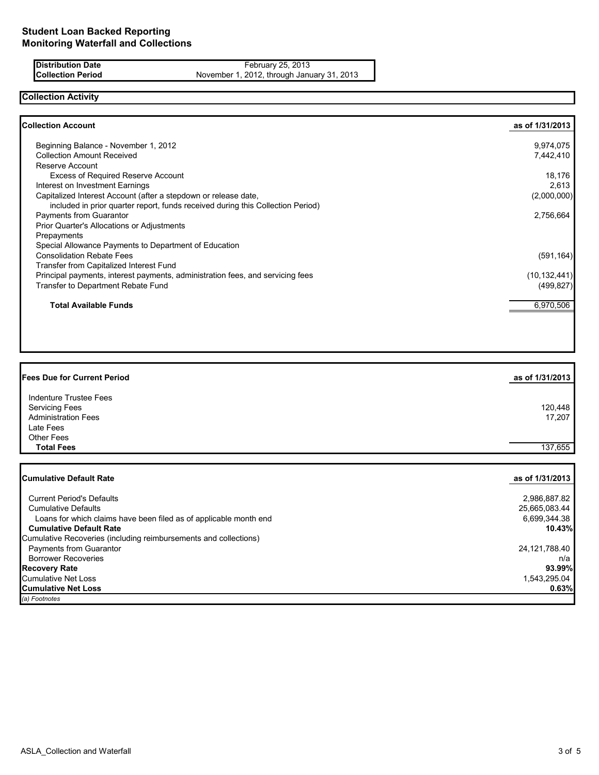**Distribution Date February 25, 2013 Collection Period** November 1, 2012, through January 31, 2013

## **Collection Activity**

| Collection Account                                                              | as of 1/31/2013 |
|---------------------------------------------------------------------------------|-----------------|
| Beginning Balance - November 1, 2012                                            | 9,974,075       |
| <b>Collection Amount Received</b>                                               | 7,442,410       |
| Reserve Account                                                                 |                 |
| <b>Excess of Required Reserve Account</b>                                       | 18,176          |
| Interest on Investment Earnings                                                 | 2,613           |
| Capitalized Interest Account (after a stepdown or release date,                 | (2,000,000)     |
| included in prior quarter report, funds received during this Collection Period) |                 |
| <b>Payments from Guarantor</b>                                                  | 2,756,664       |
| Prior Quarter's Allocations or Adjustments                                      |                 |
| Prepayments                                                                     |                 |
| Special Allowance Payments to Department of Education                           |                 |
| <b>Consolidation Rebate Fees</b>                                                | (591, 164)      |
| Transfer from Capitalized Interest Fund                                         |                 |
| Principal payments, interest payments, administration fees, and servicing fees  | (10, 132, 441)  |
| Transfer to Department Rebate Fund                                              | (499, 827)      |
| <b>Total Available Funds</b>                                                    | 6,970,506       |

| <b>Fees Due for Current Period</b>                  | as of 1/31/2013   |
|-----------------------------------------------------|-------------------|
| Indenture Trustee Fees                              |                   |
| <b>Servicing Fees</b><br><b>Administration Fees</b> | 120,448<br>17,207 |
| Late Fees                                           |                   |
| <b>Other Fees</b>                                   |                   |
| <b>Total Fees</b>                                   | 137,655           |
|                                                     |                   |
| <b>Cumulative Default Rate</b>                      | as of 1/31/2013   |

| (a) Footnotes                                                     |               |
|-------------------------------------------------------------------|---------------|
| <b>Cumulative Net Loss</b>                                        | 0.63%         |
| Cumulative Net Loss                                               | 1.543.295.04  |
| <b>Recovery Rate</b>                                              | 93.99%        |
| <b>Borrower Recoveries</b>                                        | n/a           |
| Payments from Guarantor                                           | 24,121,788.40 |
| Cumulative Recoveries (including reimbursements and collections)  |               |
| <b>Cumulative Default Rate</b>                                    | 10.43%        |
| Loans for which claims have been filed as of applicable month end | 6.699.344.38  |
| <b>Cumulative Defaults</b>                                        | 25,665,083.44 |
| <b>Current Period's Defaults</b>                                  | 2,986,887.82  |
|                                                                   |               |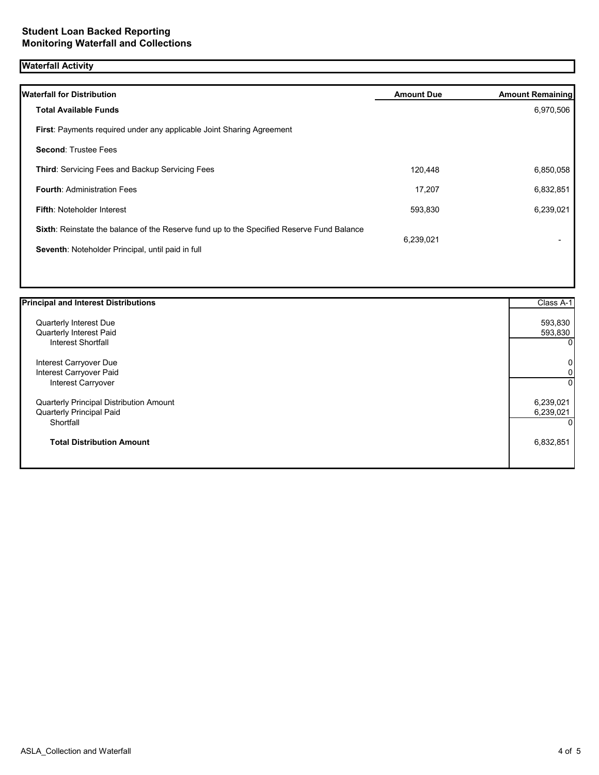# **Waterfall Activity**

| Waterfall for Distribution                                                                | <b>Amount Due</b> | <b>Amount Remaining</b> |
|-------------------------------------------------------------------------------------------|-------------------|-------------------------|
| <b>Total Available Funds</b>                                                              |                   | 6,970,506               |
| <b>First:</b> Payments required under any applicable Joint Sharing Agreement              |                   |                         |
| <b>Second: Trustee Fees</b>                                                               |                   |                         |
| <b>Third: Servicing Fees and Backup Servicing Fees</b>                                    | 120,448           | 6,850,058               |
| <b>Fourth: Administration Fees</b>                                                        | 17,207            | 6,832,851               |
| <b>Fifth: Noteholder Interest</b>                                                         | 593,830           | 6,239,021               |
| Sixth: Reinstate the balance of the Reserve fund up to the Specified Reserve Fund Balance |                   |                         |
| Seventh: Noteholder Principal, until paid in full                                         | 6,239,021         |                         |
|                                                                                           |                   |                         |

| <b>Principal and Interest Distributions</b> | Class A-1   |
|---------------------------------------------|-------------|
| Quarterly Interest Due                      | 593,830     |
| Quarterly Interest Paid                     | 593,830     |
| Interest Shortfall                          | $\Omega$    |
| Interest Carryover Due                      | $\pmb{0}$   |
| Interest Carryover Paid                     | $\mathbf 0$ |
| Interest Carryover                          | $\Omega$    |
| Quarterly Principal Distribution Amount     | 6,239,021   |
| Quarterly Principal Paid                    | 6,239,021   |
| Shortfall                                   | $\Omega$    |
| <b>Total Distribution Amount</b>            | 6,832,851   |
|                                             |             |